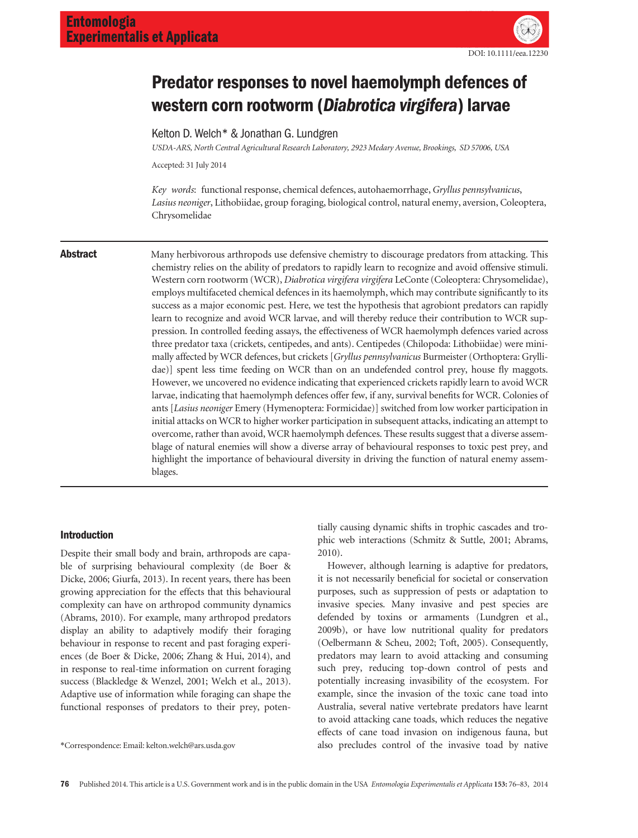

# Predator responses to novel haemolymph defences of western corn rootworm (Diabrotica virgifera) larvae

Kelton D. Welch\* & Jonathan G. Lundgren

USDA-ARS, North Central Agricultural Research Laboratory, 2923 Medary Avenue, Brookings, SD 57006, USA

Accepted: 31 July 2014

Key words: functional response, chemical defences, autohaemorrhage, Gryllus pennsylvanicus, Lasius neoniger, Lithobiidae, group foraging, biological control, natural enemy, aversion, Coleoptera, Chrysomelidae

**Abstract** Many herbivorous arthropods use defensive chemistry to discourage predators from attacking. This chemistry relies on the ability of predators to rapidly learn to recognize and avoid offensive stimuli. Western corn rootworm (WCR), Diabrotica virgifera virgifera LeConte (Coleoptera: Chrysomelidae), employs multifaceted chemical defences in its haemolymph, which may contribute significantly to its success as a major economic pest. Here, we test the hypothesis that agrobiont predators can rapidly learn to recognize and avoid WCR larvae, and will thereby reduce their contribution to WCR suppression. In controlled feeding assays, the effectiveness of WCR haemolymph defences varied across three predator taxa (crickets, centipedes, and ants). Centipedes (Chilopoda: Lithobiidae) were minimally affected by WCR defences, but crickets [Gryllus pennsylvanicus Burmeister (Orthoptera: Gryllidae)] spent less time feeding on WCR than on an undefended control prey, house fly maggots. However, we uncovered no evidence indicating that experienced crickets rapidly learn to avoid WCR larvae, indicating that haemolymph defences offer few, if any, survival benefits for WCR. Colonies of ants [Lasius neoniger Emery (Hymenoptera: Formicidae)] switched from low worker participation in initial attacks on WCR to higher worker participation in subsequent attacks, indicating an attempt to overcome, rather than avoid, WCR haemolymph defences. These results suggest that a diverse assemblage of natural enemies will show a diverse array of behavioural responses to toxic pest prey, and highlight the importance of behavioural diversity in driving the function of natural enemy assemblages.

# Introduction

Despite their small body and brain, arthropods are capable of surprising behavioural complexity (de Boer & Dicke, 2006; Giurfa, 2013). In recent years, there has been growing appreciation for the effects that this behavioural complexity can have on arthropod community dynamics (Abrams, 2010). For example, many arthropod predators display an ability to adaptively modify their foraging behaviour in response to recent and past foraging experiences (de Boer & Dicke, 2006; Zhang & Hui, 2014), and in response to real-time information on current foraging success (Blackledge & Wenzel, 2001; Welch et al., 2013). Adaptive use of information while foraging can shape the functional responses of predators to their prey, poten-

tially causing dynamic shifts in trophic cascades and trophic web interactions (Schmitz & Suttle, 2001; Abrams, 2010).

However, although learning is adaptive for predators, it is not necessarily beneficial for societal or conservation purposes, such as suppression of pests or adaptation to invasive species. Many invasive and pest species are defended by toxins or armaments (Lundgren et al., 2009b), or have low nutritional quality for predators (Oelbermann & Scheu, 2002; Toft, 2005). Consequently, predators may learn to avoid attacking and consuming such prey, reducing top-down control of pests and potentially increasing invasibility of the ecosystem. For example, since the invasion of the toxic cane toad into Australia, several native vertebrate predators have learnt to avoid attacking cane toads, which reduces the negative effects of cane toad invasion on indigenous fauna, but \*Correspondence: Email: kelton.welch@ars.usda.gov also precludes control of the invasive toad by native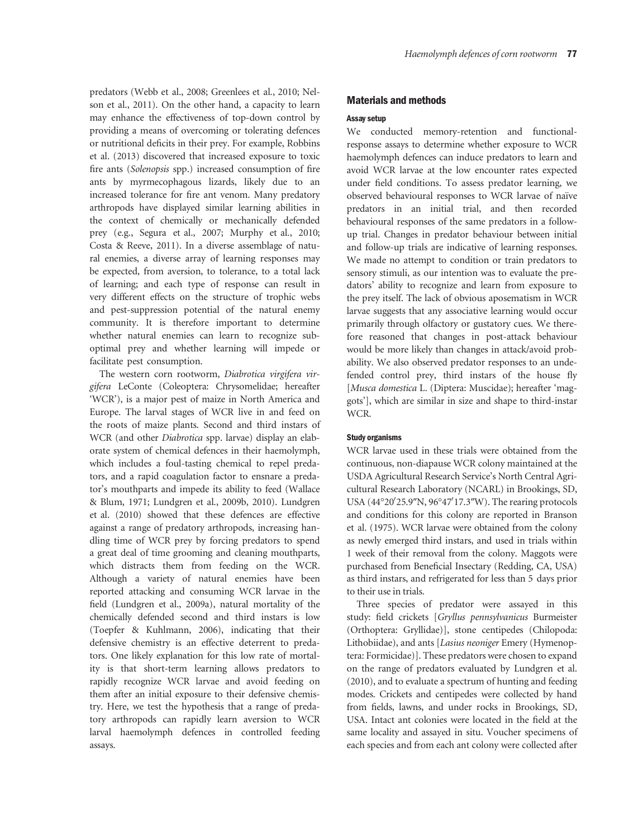predators (Webb et al., 2008; Greenlees et al., 2010; Nelson et al., 2011). On the other hand, a capacity to learn may enhance the effectiveness of top-down control by providing a means of overcoming or tolerating defences or nutritional deficits in their prey. For example, Robbins et al. (2013) discovered that increased exposure to toxic fire ants (Solenopsis spp.) increased consumption of fire ants by myrmecophagous lizards, likely due to an increased tolerance for fire ant venom. Many predatory arthropods have displayed similar learning abilities in the context of chemically or mechanically defended prey (e.g., Segura et al., 2007; Murphy et al., 2010; Costa & Reeve, 2011). In a diverse assemblage of natural enemies, a diverse array of learning responses may be expected, from aversion, to tolerance, to a total lack of learning; and each type of response can result in very different effects on the structure of trophic webs and pest-suppression potential of the natural enemy community. It is therefore important to determine whether natural enemies can learn to recognize suboptimal prey and whether learning will impede or facilitate pest consumption.

The western corn rootworm, Diabrotica virgifera virgifera LeConte (Coleoptera: Chrysomelidae; hereafter 'WCR'), is a major pest of maize in North America and Europe. The larval stages of WCR live in and feed on the roots of maize plants. Second and third instars of WCR (and other Diabrotica spp. larvae) display an elaborate system of chemical defences in their haemolymph, which includes a foul-tasting chemical to repel predators, and a rapid coagulation factor to ensnare a predator's mouthparts and impede its ability to feed (Wallace & Blum, 1971; Lundgren et al., 2009b, 2010). Lundgren et al. (2010) showed that these defences are effective against a range of predatory arthropods, increasing handling time of WCR prey by forcing predators to spend a great deal of time grooming and cleaning mouthparts, which distracts them from feeding on the WCR. Although a variety of natural enemies have been reported attacking and consuming WCR larvae in the field (Lundgren et al., 2009a), natural mortality of the chemically defended second and third instars is low (Toepfer & Kuhlmann, 2006), indicating that their defensive chemistry is an effective deterrent to predators. One likely explanation for this low rate of mortality is that short-term learning allows predators to rapidly recognize WCR larvae and avoid feeding on them after an initial exposure to their defensive chemistry. Here, we test the hypothesis that a range of predatory arthropods can rapidly learn aversion to WCR larval haemolymph defences in controlled feeding assays.

# Materials and methods

### Assay setup

We conducted memory-retention and functionalresponse assays to determine whether exposure to WCR haemolymph defences can induce predators to learn and avoid WCR larvae at the low encounter rates expected under field conditions. To assess predator learning, we observed behavioural responses to WCR larvae of naïve predators in an initial trial, and then recorded behavioural responses of the same predators in a followup trial. Changes in predator behaviour between initial and follow-up trials are indicative of learning responses. We made no attempt to condition or train predators to sensory stimuli, as our intention was to evaluate the predators' ability to recognize and learn from exposure to the prey itself. The lack of obvious aposematism in WCR larvae suggests that any associative learning would occur primarily through olfactory or gustatory cues. We therefore reasoned that changes in post-attack behaviour would be more likely than changes in attack/avoid probability. We also observed predator responses to an undefended control prey, third instars of the house fly [Musca domestica L. (Diptera: Muscidae); hereafter 'maggots'], which are similar in size and shape to third-instar WCR.

### Study organisms

WCR larvae used in these trials were obtained from the continuous, non-diapause WCR colony maintained at the USDA Agricultural Research Service's North Central Agricultural Research Laboratory (NCARL) in Brookings, SD, USA (44°20'25.9"N, 96°47'17.3"W). The rearing protocols and conditions for this colony are reported in Branson et al. (1975). WCR larvae were obtained from the colony as newly emerged third instars, and used in trials within 1 week of their removal from the colony. Maggots were purchased from Beneficial Insectary (Redding, CA, USA) as third instars, and refrigerated for less than 5 days prior to their use in trials.

Three species of predator were assayed in this study: field crickets [Gryllus pennsylvanicus Burmeister (Orthoptera: Gryllidae)], stone centipedes (Chilopoda: Lithobiidae), and ants [Lasius neoniger Emery (Hymenoptera: Formicidae)]. These predators were chosen to expand on the range of predators evaluated by Lundgren et al. (2010), and to evaluate a spectrum of hunting and feeding modes. Crickets and centipedes were collected by hand from fields, lawns, and under rocks in Brookings, SD, USA. Intact ant colonies were located in the field at the same locality and assayed in situ. Voucher specimens of each species and from each ant colony were collected after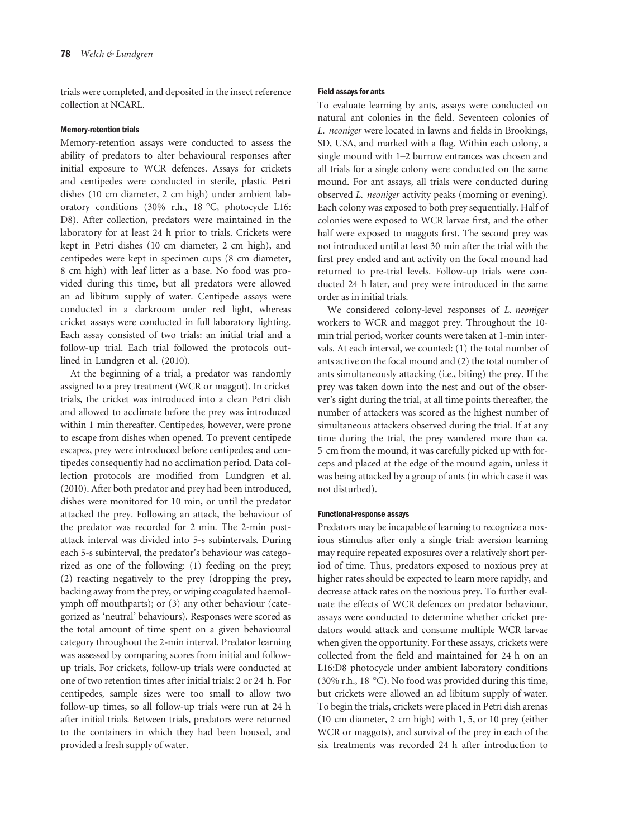trials were completed, and deposited in the insect reference collection at NCARL.

# Memory-retention trials

Memory-retention assays were conducted to assess the ability of predators to alter behavioural responses after initial exposure to WCR defences. Assays for crickets and centipedes were conducted in sterile, plastic Petri dishes (10 cm diameter, 2 cm high) under ambient laboratory conditions (30% r.h., 18 °C, photocycle L16: D8). After collection, predators were maintained in the laboratory for at least 24 h prior to trials. Crickets were kept in Petri dishes (10 cm diameter, 2 cm high), and centipedes were kept in specimen cups (8 cm diameter, 8 cm high) with leaf litter as a base. No food was provided during this time, but all predators were allowed an ad libitum supply of water. Centipede assays were conducted in a darkroom under red light, whereas cricket assays were conducted in full laboratory lighting. Each assay consisted of two trials: an initial trial and a follow-up trial. Each trial followed the protocols outlined in Lundgren et al. (2010).

At the beginning of a trial, a predator was randomly assigned to a prey treatment (WCR or maggot). In cricket trials, the cricket was introduced into a clean Petri dish and allowed to acclimate before the prey was introduced within 1 min thereafter. Centipedes, however, were prone to escape from dishes when opened. To prevent centipede escapes, prey were introduced before centipedes; and centipedes consequently had no acclimation period. Data collection protocols are modified from Lundgren et al. (2010). After both predator and prey had been introduced, dishes were monitored for 10 min, or until the predator attacked the prey. Following an attack, the behaviour of the predator was recorded for 2 min. The 2-min postattack interval was divided into 5-s subintervals. During each 5-s subinterval, the predator's behaviour was categorized as one of the following: (1) feeding on the prey; (2) reacting negatively to the prey (dropping the prey, backing away from the prey, or wiping coagulated haemolymph off mouthparts); or (3) any other behaviour (categorized as 'neutral' behaviours). Responses were scored as the total amount of time spent on a given behavioural category throughout the 2-min interval. Predator learning was assessed by comparing scores from initial and followup trials. For crickets, follow-up trials were conducted at one of two retention times after initial trials: 2 or 24 h. For centipedes, sample sizes were too small to allow two follow-up times, so all follow-up trials were run at 24 h after initial trials. Between trials, predators were returned to the containers in which they had been housed, and provided a fresh supply of water.

#### Field assays for ants

To evaluate learning by ants, assays were conducted on natural ant colonies in the field. Seventeen colonies of L. neoniger were located in lawns and fields in Brookings, SD, USA, and marked with a flag. Within each colony, a single mound with 1–2 burrow entrances was chosen and all trials for a single colony were conducted on the same mound. For ant assays, all trials were conducted during observed L. neoniger activity peaks (morning or evening). Each colony was exposed to both prey sequentially. Half of colonies were exposed to WCR larvae first, and the other half were exposed to maggots first. The second prey was not introduced until at least 30 min after the trial with the first prey ended and ant activity on the focal mound had returned to pre-trial levels. Follow-up trials were conducted 24 h later, and prey were introduced in the same order as in initial trials.

We considered colony-level responses of L. neoniger workers to WCR and maggot prey. Throughout the 10 min trial period, worker counts were taken at 1-min intervals. At each interval, we counted: (1) the total number of ants active on the focal mound and (2) the total number of ants simultaneously attacking (i.e., biting) the prey. If the prey was taken down into the nest and out of the observer's sight during the trial, at all time points thereafter, the number of attackers was scored as the highest number of simultaneous attackers observed during the trial. If at any time during the trial, the prey wandered more than ca. 5 cm from the mound, it was carefully picked up with forceps and placed at the edge of the mound again, unless it was being attacked by a group of ants (in which case it was not disturbed).

#### Functional-response assays

Predators may be incapable of learning to recognize a noxious stimulus after only a single trial: aversion learning may require repeated exposures over a relatively short period of time. Thus, predators exposed to noxious prey at higher rates should be expected to learn more rapidly, and decrease attack rates on the noxious prey. To further evaluate the effects of WCR defences on predator behaviour, assays were conducted to determine whether cricket predators would attack and consume multiple WCR larvae when given the opportunity. For these assays, crickets were collected from the field and maintained for 24 h on an L16:D8 photocycle under ambient laboratory conditions (30% r.h., 18 °C). No food was provided during this time, but crickets were allowed an ad libitum supply of water. To begin the trials, crickets were placed in Petri dish arenas (10 cm diameter, 2 cm high) with 1, 5, or 10 prey (either WCR or maggots), and survival of the prey in each of the six treatments was recorded 24 h after introduction to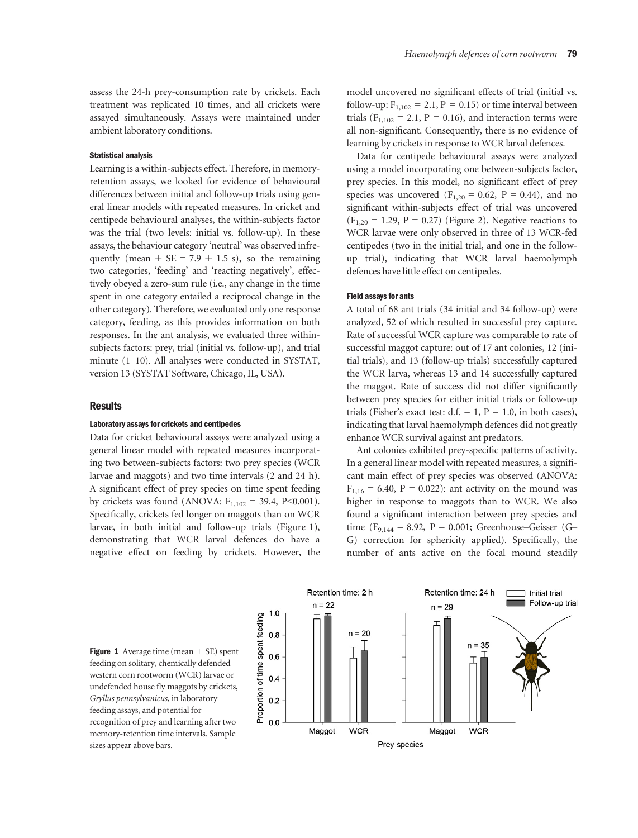assess the 24-h prey-consumption rate by crickets. Each treatment was replicated 10 times, and all crickets were assayed simultaneously. Assays were maintained under ambient laboratory conditions.

#### Statistical analysis

Learning is a within-subjects effect. Therefore, in memoryretention assays, we looked for evidence of behavioural differences between initial and follow-up trials using general linear models with repeated measures. In cricket and centipede behavioural analyses, the within-subjects factor was the trial (two levels: initial vs. follow-up). In these assays, the behaviour category 'neutral' was observed infrequently (mean  $\pm$  SE = 7.9  $\pm$  1.5 s), so the remaining two categories, 'feeding' and 'reacting negatively', effectively obeyed a zero-sum rule (i.e., any change in the time spent in one category entailed a reciprocal change in the other category). Therefore, we evaluated only one response category, feeding, as this provides information on both responses. In the ant analysis, we evaluated three withinsubjects factors: prey, trial (initial vs. follow-up), and trial minute (1–10). All analyses were conducted in SYSTAT, version 13 (SYSTAT Software, Chicago, IL, USA).

#### **Results**

#### Laboratory assays for crickets and centipedes

Data for cricket behavioural assays were analyzed using a general linear model with repeated measures incorporating two between-subjects factors: two prey species (WCR larvae and maggots) and two time intervals (2 and 24 h). A significant effect of prey species on time spent feeding by crickets was found (ANOVA:  $F_{1,102} = 39.4$ , P<0.001). Specifically, crickets fed longer on maggots than on WCR larvae, in both initial and follow-up trials (Figure 1), demonstrating that WCR larval defences do have a negative effect on feeding by crickets. However, the model uncovered no significant effects of trial (initial vs. follow-up:  $F_{1,102} = 2.1$ ,  $P = 0.15$ ) or time interval between trials ( $F_{1,102} = 2.1$ ,  $P = 0.16$ ), and interaction terms were all non-significant. Consequently, there is no evidence of learning by crickets in response to WCR larval defences.

Data for centipede behavioural assays were analyzed using a model incorporating one between-subjects factor, prey species. In this model, no significant effect of prey species was uncovered ( $F_{1,20} = 0.62$ ,  $P = 0.44$ ), and no significant within-subjects effect of trial was uncovered  $(F_{1,20} = 1.29, P = 0.27)$  (Figure 2). Negative reactions to WCR larvae were only observed in three of 13 WCR-fed centipedes (two in the initial trial, and one in the followup trial), indicating that WCR larval haemolymph defences have little effect on centipedes.

#### Field assays for ants

A total of 68 ant trials (34 initial and 34 follow-up) were analyzed, 52 of which resulted in successful prey capture. Rate of successful WCR capture was comparable to rate of successful maggot capture: out of 17 ant colonies, 12 (initial trials), and 13 (follow-up trials) successfully captured the WCR larva, whereas 13 and 14 successfully captured the maggot. Rate of success did not differ significantly between prey species for either initial trials or follow-up trials (Fisher's exact test: d.f. = 1,  $P = 1.0$ , in both cases), indicating that larval haemolymph defences did not greatly enhance WCR survival against ant predators.

Ant colonies exhibited prey-specific patterns of activity. In a general linear model with repeated measures, a significant main effect of prey species was observed (ANOVA:  $F_{1,16} = 6.40, P = 0.022$ ): ant activity on the mound was higher in response to maggots than to WCR. We also found a significant interaction between prey species and time (F<sub>9,144</sub> = 8.92, P = 0.001; Greenhouse–Geisser (G– G) correction for sphericity applied). Specifically, the number of ants active on the focal mound steadily

**Figure 1** Average time (mean  $+$  SE) spent feeding on solitary, chemically defended western corn rootworm (WCR) larvae or undefended house fly maggots by crickets, Gryllus pennsylvanicus, in laboratory feeding assays, and potential for recognition of prey and learning after two memory-retention time intervals. Sample sizes appear above bars.

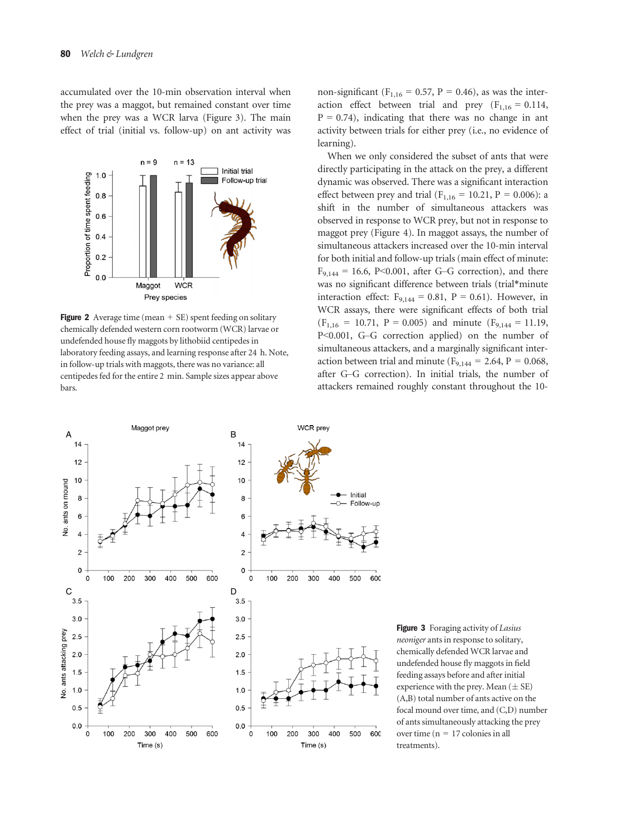accumulated over the 10-min observation interval when the prey was a maggot, but remained constant over time when the prey was a WCR larva (Figure 3). The main effect of trial (initial vs. follow-up) on ant activity was



**Figure 2** Average time (mean  $+$  SE) spent feeding on solitary chemically defended western corn rootworm (WCR) larvae or undefended house fly maggots by lithobiid centipedes in laboratory feeding assays, and learning response after 24 h. Note, in follow-up trials with maggots, there was no variance: all centipedes fed for the entire 2 min. Sample sizes appear above bars.

non-significant ( $F_{1,16} = 0.57$ ,  $P = 0.46$ ), as was the interaction effect between trial and prey  $(F<sub>1,16</sub> = 0.114,$  $P = 0.74$ ), indicating that there was no change in ant activity between trials for either prey (i.e., no evidence of learning).

When we only considered the subset of ants that were directly participating in the attack on the prey, a different dynamic was observed. There was a significant interaction effect between prey and trial ( $F_{1,16} = 10.21$ ,  $P = 0.006$ ): a shift in the number of simultaneous attackers was observed in response to WCR prey, but not in response to maggot prey (Figure 4). In maggot assays, the number of simultaneous attackers increased over the 10-min interval for both initial and follow-up trials (main effect of minute:  $F_{9,144} = 16.6$ , P<0.001, after G-G correction), and there was no significant difference between trials (trial\*minute interaction effect:  $F_{9,144} = 0.81$ ,  $P = 0.61$ ). However, in WCR assays, there were significant effects of both trial  $(F<sub>1,16</sub> = 10.71, P = 0.005)$  and minute  $(F<sub>9,144</sub> = 11.19,$ P<0.001, G–G correction applied) on the number of simultaneous attackers, and a marginally significant interaction between trial and minute ( $F_{9,144} = 2.64$ ,  $P = 0.068$ , after G–G correction). In initial trials, the number of attackers remained roughly constant throughout the 10-



Figure 3 Foraging activity of Lasius neoniger ants in response to solitary, chemically defended WCR larvae and undefended house fly maggots in field feeding assays before and after initial experience with the prey. Mean  $(\pm \text{ SE})$ (A,B) total number of ants active on the focal mound over time, and (C,D) number of ants simultaneously attacking the prey over time ( $n = 17$  colonies in all treatments).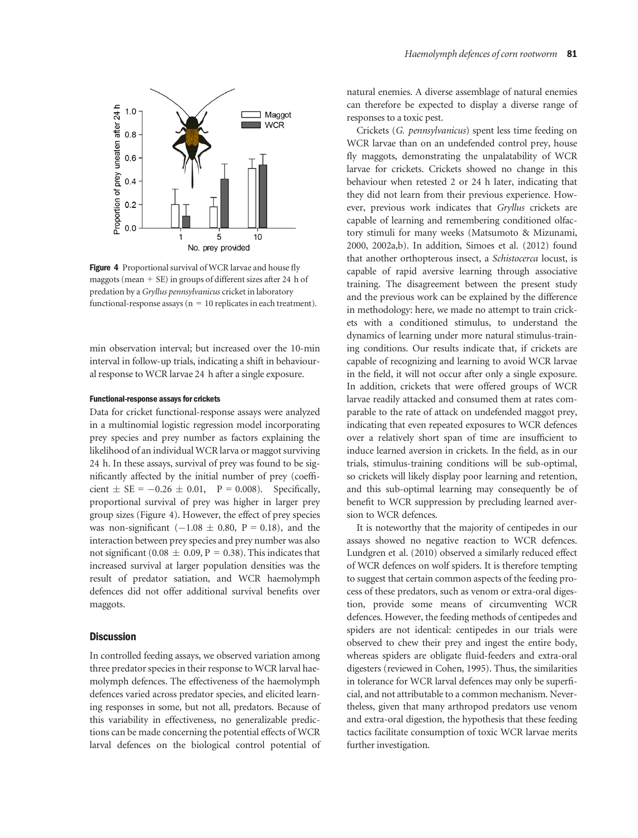

Figure 4 Proportional survival of WCR larvae and house fly maggots (mean  $+$  SE) in groups of different sizes after 24 h of predation by a Gryllus pennsylvanicus cricket in laboratory functional-response assays ( $n = 10$  replicates in each treatment).

min observation interval; but increased over the 10-min interval in follow-up trials, indicating a shift in behavioural response to WCR larvae 24 h after a single exposure.

#### Functional-response assays for crickets

Data for cricket functional-response assays were analyzed in a multinomial logistic regression model incorporating prey species and prey number as factors explaining the likelihood of an individual WCR larva or maggot surviving 24 h. In these assays, survival of prey was found to be significantly affected by the initial number of prey (coefficient  $\pm$  SE = -0.26  $\pm$  0.01, P = 0.008). Specifically, proportional survival of prey was higher in larger prey group sizes (Figure 4). However, the effect of prey species was non-significant  $(-1.08 \pm 0.80, P = 0.18)$ , and the interaction between prey species and prey number was also not significant (0.08  $\pm$  0.09, P = 0.38). This indicates that increased survival at larger population densities was the result of predator satiation, and WCR haemolymph defences did not offer additional survival benefits over maggots.

#### **Discussion**

In controlled feeding assays, we observed variation among three predator species in their response to WCR larval haemolymph defences. The effectiveness of the haemolymph defences varied across predator species, and elicited learning responses in some, but not all, predators. Because of this variability in effectiveness, no generalizable predictions can be made concerning the potential effects of WCR larval defences on the biological control potential of natural enemies. A diverse assemblage of natural enemies can therefore be expected to display a diverse range of responses to a toxic pest.

Crickets (G. pennsylvanicus) spent less time feeding on WCR larvae than on an undefended control prey, house fly maggots, demonstrating the unpalatability of WCR larvae for crickets. Crickets showed no change in this behaviour when retested 2 or 24 h later, indicating that they did not learn from their previous experience. However, previous work indicates that Gryllus crickets are capable of learning and remembering conditioned olfactory stimuli for many weeks (Matsumoto & Mizunami, 2000, 2002a,b). In addition, Simoes et al. (2012) found that another orthopterous insect, a Schistocerca locust, is capable of rapid aversive learning through associative training. The disagreement between the present study and the previous work can be explained by the difference in methodology: here, we made no attempt to train crickets with a conditioned stimulus, to understand the dynamics of learning under more natural stimulus-training conditions. Our results indicate that, if crickets are capable of recognizing and learning to avoid WCR larvae in the field, it will not occur after only a single exposure. In addition, crickets that were offered groups of WCR larvae readily attacked and consumed them at rates comparable to the rate of attack on undefended maggot prey, indicating that even repeated exposures to WCR defences over a relatively short span of time are insufficient to induce learned aversion in crickets. In the field, as in our trials, stimulus-training conditions will be sub-optimal, so crickets will likely display poor learning and retention, and this sub-optimal learning may consequently be of benefit to WCR suppression by precluding learned aversion to WCR defences.

It is noteworthy that the majority of centipedes in our assays showed no negative reaction to WCR defences. Lundgren et al. (2010) observed a similarly reduced effect of WCR defences on wolf spiders. It is therefore tempting to suggest that certain common aspects of the feeding process of these predators, such as venom or extra-oral digestion, provide some means of circumventing WCR defences. However, the feeding methods of centipedes and spiders are not identical: centipedes in our trials were observed to chew their prey and ingest the entire body, whereas spiders are obligate fluid-feeders and extra-oral digesters (reviewed in Cohen, 1995). Thus, the similarities in tolerance for WCR larval defences may only be superficial, and not attributable to a common mechanism. Nevertheless, given that many arthropod predators use venom and extra-oral digestion, the hypothesis that these feeding tactics facilitate consumption of toxic WCR larvae merits further investigation.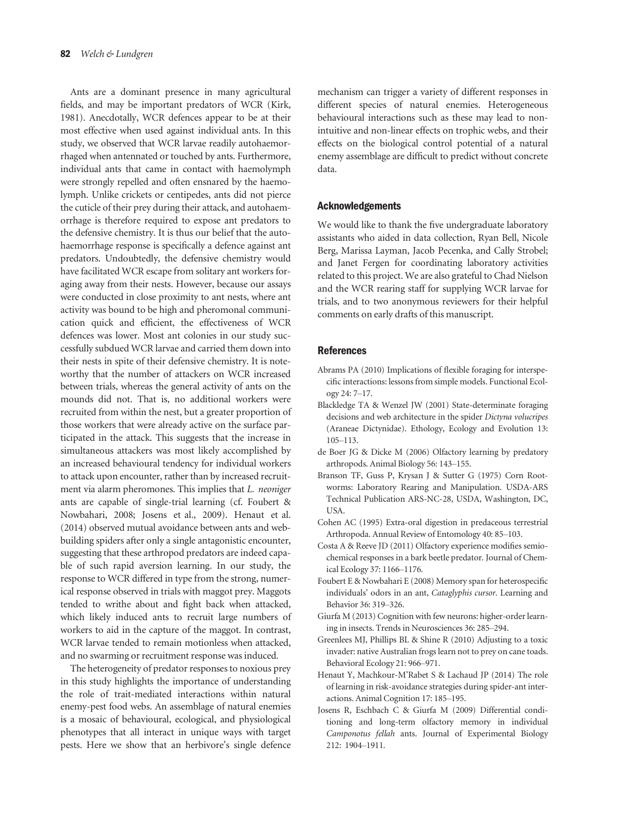Ants are a dominant presence in many agricultural fields, and may be important predators of WCR (Kirk, 1981). Anecdotally, WCR defences appear to be at their most effective when used against individual ants. In this study, we observed that WCR larvae readily autohaemorrhaged when antennated or touched by ants. Furthermore, individual ants that came in contact with haemolymph were strongly repelled and often ensnared by the haemolymph. Unlike crickets or centipedes, ants did not pierce the cuticle of their prey during their attack, and autohaemorrhage is therefore required to expose ant predators to the defensive chemistry. It is thus our belief that the autohaemorrhage response is specifically a defence against ant predators. Undoubtedly, the defensive chemistry would have facilitated WCR escape from solitary ant workers foraging away from their nests. However, because our assays were conducted in close proximity to ant nests, where ant activity was bound to be high and pheromonal communication quick and efficient, the effectiveness of WCR defences was lower. Most ant colonies in our study successfully subdued WCR larvae and carried them down into their nests in spite of their defensive chemistry. It is noteworthy that the number of attackers on WCR increased between trials, whereas the general activity of ants on the mounds did not. That is, no additional workers were recruited from within the nest, but a greater proportion of those workers that were already active on the surface participated in the attack. This suggests that the increase in simultaneous attackers was most likely accomplished by an increased behavioural tendency for individual workers to attack upon encounter, rather than by increased recruitment via alarm pheromones. This implies that L. neoniger ants are capable of single-trial learning (cf. Foubert & Nowbahari, 2008; Josens et al., 2009). Henaut et al. (2014) observed mutual avoidance between ants and webbuilding spiders after only a single antagonistic encounter, suggesting that these arthropod predators are indeed capable of such rapid aversion learning. In our study, the response to WCR differed in type from the strong, numerical response observed in trials with maggot prey. Maggots tended to writhe about and fight back when attacked, which likely induced ants to recruit large numbers of workers to aid in the capture of the maggot. In contrast, WCR larvae tended to remain motionless when attacked, and no swarming or recruitment response was induced.

The heterogeneity of predator responses to noxious prey in this study highlights the importance of understanding the role of trait-mediated interactions within natural enemy-pest food webs. An assemblage of natural enemies is a mosaic of behavioural, ecological, and physiological phenotypes that all interact in unique ways with target pests. Here we show that an herbivore's single defence

mechanism can trigger a variety of different responses in different species of natural enemies. Heterogeneous behavioural interactions such as these may lead to nonintuitive and non-linear effects on trophic webs, and their effects on the biological control potential of a natural enemy assemblage are difficult to predict without concrete data.

# Acknowledgements

We would like to thank the five undergraduate laboratory assistants who aided in data collection, Ryan Bell, Nicole Berg, Marissa Layman, Jacob Pecenka, and Cally Strobel; and Janet Fergen for coordinating laboratory activities related to this project. We are also grateful to Chad Nielson and the WCR rearing staff for supplying WCR larvae for trials, and to two anonymous reviewers for their helpful comments on early drafts of this manuscript.

#### References

- Abrams PA (2010) Implications of flexible foraging for interspecific interactions: lessons from simple models. Functional Ecology 24: 7–17.
- Blackledge TA & Wenzel JW (2001) State-determinate foraging decisions and web architecture in the spider Dictyna volucripes (Araneae Dictynidae). Ethology, Ecology and Evolution 13: 105–113.
- de Boer JG & Dicke M (2006) Olfactory learning by predatory arthropods. Animal Biology 56: 143–155.
- Branson TF, Guss P, Krysan J & Sutter G (1975) Corn Rootworms: Laboratory Rearing and Manipulation. USDA-ARS Technical Publication ARS-NC-28, USDA, Washington, DC, USA.
- Cohen AC (1995) Extra-oral digestion in predaceous terrestrial Arthropoda. Annual Review of Entomology 40: 85–103.
- Costa A & Reeve JD (2011) Olfactory experience modifies semiochemical responses in a bark beetle predator. Journal of Chemical Ecology 37: 1166–1176.
- Foubert E & Nowbahari E (2008) Memory span for heterospecific individuals' odors in an ant, Cataglyphis cursor. Learning and Behavior 36: 319–326.
- Giurfa M (2013) Cognition with few neurons: higher-order learning in insects. Trends in Neurosciences 36: 285–294.
- Greenlees MJ, Phillips BL & Shine R (2010) Adjusting to a toxic invader: native Australian frogs learn not to prey on cane toads. Behavioral Ecology 21: 966–971.
- Henaut Y, Machkour-M'Rabet S & Lachaud JP (2014) The role of learning in risk-avoidance strategies during spider-ant interactions. Animal Cognition 17: 185–195.
- Josens R, Eschbach C & Giurfa M (2009) Differential conditioning and long-term olfactory memory in individual Camponotus fellah ants. Journal of Experimental Biology 212: 1904–1911.